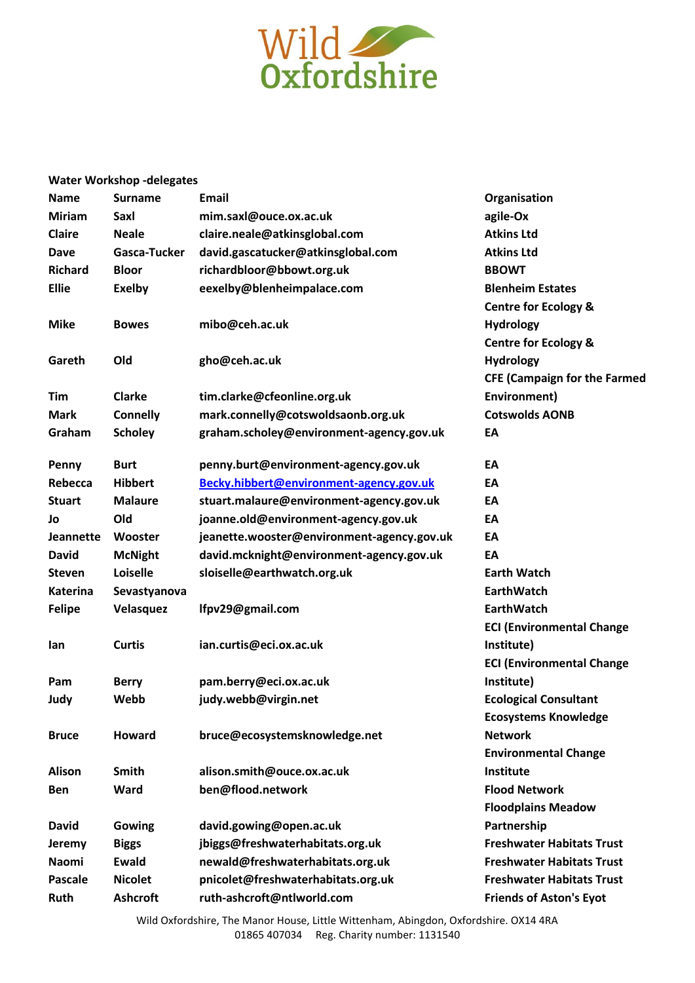

## **Water Workshop -delegates**

| <b>Name</b>     | <b>Surname</b>  | <b>Email</b>                               | Organisation                        |
|-----------------|-----------------|--------------------------------------------|-------------------------------------|
| <b>Miriam</b>   | Saxl            | mim.saxl@ouce.ox.ac.uk                     | agile-Ox                            |
| <b>Claire</b>   | <b>Neale</b>    | claire.neale@atkinsglobal.com              | <b>Atkins Ltd</b>                   |
| <b>Dave</b>     | Gasca-Tucker    | david.gascatucker@atkinsglobal.com         | <b>Atkins Ltd</b>                   |
| <b>Richard</b>  | <b>Bloor</b>    | richardbloor@bbowt.org.uk                  | <b>BBOWT</b>                        |
| <b>Ellie</b>    | <b>Exelby</b>   | eexelby@blenheimpalace.com                 | <b>Blenheim Estates</b>             |
|                 |                 |                                            | <b>Centre for Ecology &amp;</b>     |
| <b>Mike</b>     | <b>Bowes</b>    | mibo@ceh.ac.uk                             | <b>Hydrology</b>                    |
|                 |                 |                                            | <b>Centre for Ecology &amp;</b>     |
| Gareth          | Old             | gho@ceh.ac.uk                              | <b>Hydrology</b>                    |
|                 |                 |                                            | <b>CFE (Campaign for the Farmed</b> |
| <b>Tim</b>      | <b>Clarke</b>   | tim.clarke@cfeonline.org.uk                | Environment)                        |
| <b>Mark</b>     | <b>Connelly</b> | mark.connelly@cotswoldsaonb.org.uk         | <b>Cotswolds AONB</b>               |
| Graham          | <b>Scholey</b>  | graham.scholey@environment-agency.gov.uk   | EA                                  |
| Penny           | <b>Burt</b>     | penny.burt@environment-agency.gov.uk       | EA                                  |
| Rebecca         | <b>Hibbert</b>  | Becky.hibbert@environment-agency.gov.uk    | EA                                  |
| <b>Stuart</b>   | <b>Malaure</b>  | stuart.malaure@environment-agency.gov.uk   | EA                                  |
| Jo              | Old             | joanne.old@environment-agency.gov.uk       | EA                                  |
| Jeannette       | Wooster         | jeanette.wooster@environment-agency.gov.uk | EA                                  |
| <b>David</b>    | <b>McNight</b>  | david.mcknight@environment-agency.gov.uk   | EA                                  |
| <b>Steven</b>   | Loiselle        | sloiselle@earthwatch.org.uk                | <b>Earth Watch</b>                  |
| <b>Katerina</b> | Sevastyanova    |                                            | <b>EarthWatch</b>                   |
| <b>Felipe</b>   | Velasquez       | lfpv29@gmail.com                           | <b>EarthWatch</b>                   |
|                 |                 |                                            | <b>ECI (Environmental Change</b>    |
| lan             | <b>Curtis</b>   | ian.curtis@eci.ox.ac.uk                    | Institute)                          |
|                 |                 |                                            | <b>ECI (Environmental Change</b>    |
| Pam             | <b>Berry</b>    | pam.berry@eci.ox.ac.uk                     | Institute)                          |
| Judy            | Webb            | judy.webb@virgin.net                       | <b>Ecological Consultant</b>        |
|                 |                 |                                            | <b>Ecosystems Knowledge</b>         |
| <b>Bruce</b>    | <b>Howard</b>   | bruce@ecosystemsknowledge.net              | <b>Network</b>                      |
|                 |                 |                                            | <b>Environmental Change</b>         |
| <b>Alison</b>   | Smith           | alison.smith@ouce.ox.ac.uk                 | Institute                           |
| <b>Ben</b>      | Ward            | ben@flood.network                          | <b>Flood Network</b>                |
|                 |                 |                                            | <b>Floodplains Meadow</b>           |
| <b>David</b>    | Gowing          | david.gowing@open.ac.uk                    | Partnership                         |
| Jeremy          | <b>Biggs</b>    | jbiggs@freshwaterhabitats.org.uk           | <b>Freshwater Habitats Trust</b>    |
| <b>Naomi</b>    | <b>Ewald</b>    | newald@freshwaterhabitats.org.uk           | <b>Freshwater Habitats Trust</b>    |
| <b>Pascale</b>  | <b>Nicolet</b>  | pnicolet@freshwaterhabitats.org.uk         | <b>Freshwater Habitats Trust</b>    |
| <b>Ruth</b>     | <b>Ashcroft</b> | ruth-ashcroft@ntlworld.com                 | <b>Friends of Aston's Eyot</b>      |
|                 |                 |                                            |                                     |